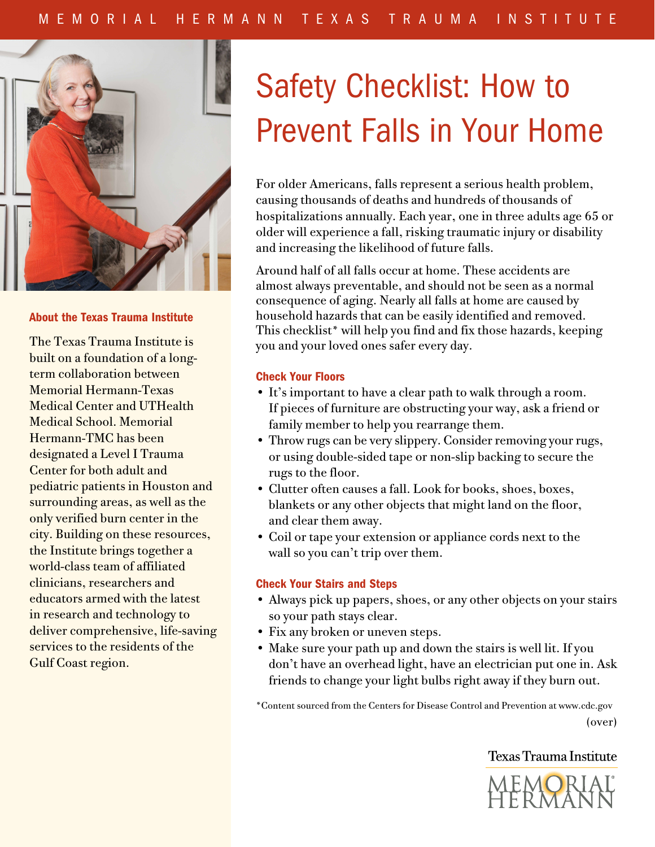

#### About the Texas Trauma Institute

The Texas Trauma Institute is built on a foundation of a longterm collaboration between Memorial Hermann-Texas Medical Center and UTHealth Medical School. Memorial Hermann-TMC has been designated a Level I Trauma Center for both adult and pediatric patients in Houston and surrounding areas, as well as the only verified burn center in the city. Building on these resources, the Institute brings together a world-class team of affiliated clinicians, researchers and educators armed with the latest in research and technology to deliver comprehensive, life-saving services to the residents of the Gulf Coast region.

# Safety Checklist: How to Prevent Falls in Your Home

For older Americans, falls represent a serious health problem, causing thousands of deaths and hundreds of thousands of hospitalizations annually. Each year, one in three adults age 65 or older will experience a fall, risking traumatic injury or disability and increasing the likelihood of future falls.

Around half of all falls occur at home. These accidents are almost always preventable, and should not be seen as a normal consequence of aging. Nearly all falls at home are caused by household hazards that can be easily identified and removed. This checklist\* will help you find and fix those hazards, keeping you and your loved ones safer every day.

#### Check Your Floors

- It's important to have a clear path to walk through a room. If pieces of furniture are obstructing your way, ask a friend or family member to help you rearrange them.
- Throw rugs can be very slippery. Consider removing your rugs, or using double-sided tape or non-slip backing to secure the rugs to the floor.
- Clutter often causes a fall. Look for books, shoes, boxes, blankets or any other objects that might land on the floor, and clear them away.
- Coil or tape your extension or appliance cords next to the wall so you can't trip over them.

#### Check Your Stairs and Steps

- Always pick up papers, shoes, or any other objects on your stairs so your path stays clear.
- Fix any broken or uneven steps.
- Make sure your path up and down the stairs is well lit. If you don't have an overhead light, have an electrician put one in. Ask friends to change your light bulbs right away if they burn out.

\*Content sourced from the Centers for Disease Control and Prevention at www.cdc.gov (over)

# **Texas Trauma Institute**